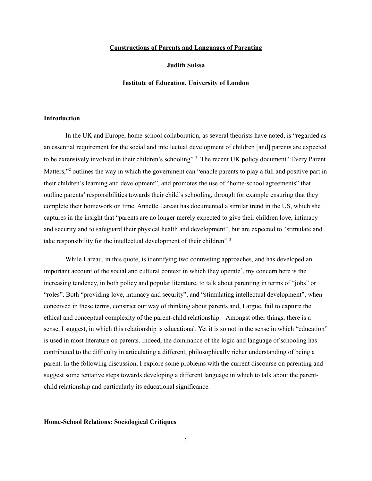### **Constructions of Parents and Languages of Parenting**

# **Judith Suissa**

#### **Institute of Education, University of London**

# **Introduction**

In the UK and Europe, home-school collaboration, as several theorists have noted, is "regarded as an essential requirement for the social and intellectual development of children [and] parents are expected to be extensively involved in their children's schooling" <sup>[1](#page-9-0)</sup>. The recent UK policy document "Every Parent Matters,"<sup>[2](#page-9-1)</sup> outlines the way in which the government can "enable parents to play a full and positive part in their children's learning and development", and promotes the use of "home-school agreements" that outline parents' responsibilities towards their child's schooling, through for example ensuring that they complete their homework on time. Annette Lareau has documented a similar trend in the US, which she captures in the insight that "parents are no longer merely expected to give their children love, intimacy and security and to safeguard their physical health and development", but are expected to "stimulate and take responsibility for the intellectual development of their children".<sup>[3](#page-9-2)</sup>

While Lareau, in this quote, is identifying two contrasting approaches, and has developed an important account of the social and cultural context in which they operate<sup>[4](#page-9-3)</sup>, my concern here is the increasing tendency, in both policy and popular literature, to talk about parenting in terms of "jobs" or "roles". Both "providing love, intimacy and security", and "stimulating intellectual development", when conceived in these terms, constrict our way of thinking about parents and, I argue, fail to capture the ethical and conceptual complexity of the parent-child relationship. Amongst other things, there is a sense, I suggest, in which this relationship is educational. Yet it is so not in the sense in which "education" is used in most literature on parents. Indeed, the dominance of the logic and language of schooling has contributed to the difficulty in articulating a different, philosophically richer understanding of being a parent. In the following discussion, I explore some problems with the current discourse on parenting and suggest some tentative steps towards developing a different language in which to talk about the parentchild relationship and particularly its educational significance.

### **Home-School Relations: Sociological Critiques**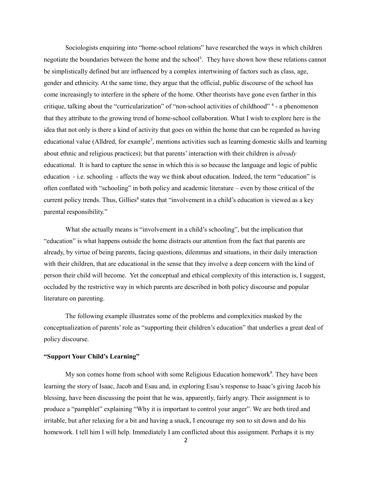Sociologists enquiring into "home-school relations" have researched the ways in which children negotiate the boundaries between the home and the school<sup>[5](#page-9-4)</sup>. They have shown how these relations cannot be simplistically defined but are influenced by a complex intertwining of factors such as class, age, gender and ethnicity. At the same time, they argue that the official, public discourse of the school has come increasingly to interfere in the sphere of the home. Other theorists have gone even farther in this critique, talking about the "curricularization" of "non-school activities of childhood" <sup>[6](#page-9-5)</sup> - a phenomenon that they attribute to the growing trend of home-school collaboration. What I wish to explore here is the idea that not only is there a kind of activity that goes on within the home that can be regarded as having educational value (Alldred, for example<sup>[7](#page-9-6)</sup>, mentions activities such as learning domestic skills and learning about ethnic and religious practices); but that parents' interaction with their children is *already* educational. It is hard to capture the sense in which this is so because the language and logic of public education - i.e. schooling - affects the way we think about education. Indeed, the term "education" is often conflated with "schooling" in both policy and academic literature – even by those critical of the current policy trends. Thus, Gillies<sup>[8](#page-9-7)</sup> states that "involvement in a child's education is viewed as a key parental responsibility."

What she actually means is "involvement in a child's schooling", but the implication that "education" is what happens outside the home distracts our attention from the fact that parents are already, by virtue of being parents, facing questions, dilemmas and situations, in their daily interaction with their children, that are educational in the sense that they involve a deep concern with the kind of person their child will become. Yet the conceptual and ethical complexity of this interaction is, I suggest, occluded by the restrictive way in which parents are described in both policy discourse and popular literature on parenting.

The following example illustrates some of the problems and complexities masked by the conceptualization of parents' role as "supporting their children's education" that underlies a great deal of policy discourse.

## **"Support Your Child's Learning"**

My son comes home from school with some Religious Education homework<sup>[9](#page-9-8)</sup>. They have been learning the story of Isaac, Jacob and Esau and, in exploring Esau's response to Isaac's giving Jacob his blessing, have been discussing the point that he was, apparently, fairly angry. Their assignment is to produce a "pamphlet" explaining "Why it is important to control your anger". We are both tired and irritable, but after relaxing for a bit and having a snack, I encourage my son to sit down and do his homework. I tell him I will help. Immediately I am conflicted about this assignment. Perhaps it is my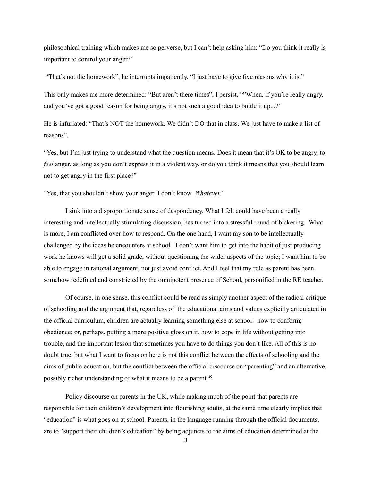philosophical training which makes me so perverse, but I can't help asking him: "Do you think it really is important to control your anger?"

"That's not the homework", he interrupts impatiently. "I just have to give five reasons why it is."

This only makes me more determined: "But aren't there times", I persist, ""When, if you're really angry, and you've got a good reason for being angry, it's not such a good idea to bottle it up...?"

He is infuriated: "That's NOT the homework. We didn't DO that in class. We just have to make a list of reasons".

"Yes, but I'm just trying to understand what the question means. Does it mean that it's OK to be angry, to *feel* anger, as long as you don't express it in a violent way, or do you think it means that you should learn not to get angry in the first place?"

"Yes, that you shouldn't show your anger. I don't know. *Whatever*."

I sink into a disproportionate sense of despondency. What I felt could have been a really interesting and intellectually stimulating discussion, has turned into a stressful round of bickering. What is more, I am conflicted over how to respond. On the one hand, I want my son to be intellectually challenged by the ideas he encounters at school. I don't want him to get into the habit of just producing work he knows will get a solid grade, without questioning the wider aspects of the topic; I want him to be able to engage in rational argument, not just avoid conflict. And I feel that my role as parent has been somehow redefined and constricted by the omnipotent presence of School, personified in the RE teacher.

Of course, in one sense, this conflict could be read as simply another aspect of the radical critique of schooling and the argument that, regardless of the educational aims and values explicitly articulated in the official curriculum, children are actually learning something else at school: how to conform; obedience; or, perhaps, putting a more positive gloss on it, how to cope in life without getting into trouble, and the important lesson that sometimes you have to do things you don't like. All of this is no doubt true, but what I want to focus on here is not this conflict between the effects of schooling and the aims of public education, but the conflict between the official discourse on "parenting" and an alternative, possibly richer understanding of what it means to be a parent.<sup>[10](#page-9-9)</sup>

Policy discourse on parents in the UK, while making much of the point that parents are responsible for their children's development into flourishing adults, at the same time clearly implies that "education" is what goes on at school. Parents, in the language running through the official documents, are to "support their children's education" by being adjuncts to the aims of education determined at the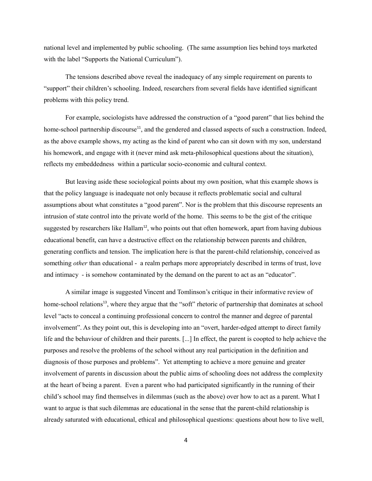national level and implemented by public schooling. (The same assumption lies behind toys marketed with the label "Supports the National Curriculum").

The tensions described above reveal the inadequacy of any simple requirement on parents to "support" their children's schooling. Indeed, researchers from several fields have identified significant problems with this policy trend.

For example, sociologists have addressed the construction of a "good parent" that lies behind the home-school partnership discourse<sup>[11](#page-9-10)</sup>, and the gendered and classed aspects of such a construction. Indeed, as the above example shows, my acting as the kind of parent who can sit down with my son, understand his homework, and engage with it (never mind ask meta-philosophical questions about the situation), reflects my embeddedness within a particular socio-economic and cultural context.

But leaving aside these sociological points about my own position, what this example shows is that the policy language is inadequate not only because it reflects problematic social and cultural assumptions about what constitutes a "good parent". Nor is the problem that this discourse represents an intrusion of state control into the private world of the home. This seems to be the gist of the critique suggested by researchers like Hallam<sup>[12](#page-9-11)</sup>, who points out that often homework, apart from having dubious educational benefit, can have a destructive effect on the relationship between parents and children, generating conflicts and tension. The implication here is that the parent-child relationship, conceived as something *other* than educational - a realm perhaps more appropriately described in terms of trust, love and intimacy - is somehow contaminated by the demand on the parent to act as an "educator".

A similar image is suggested Vincent and Tomlinson's critique in their informative review of home-school relations<sup>[13](#page-9-12)</sup>, where they argue that the "soft" rhetoric of partnership that dominates at school level "acts to conceal a continuing professional concern to control the manner and degree of parental involvement". As they point out, this is developing into an "overt, harder-edged attempt to direct family life and the behaviour of children and their parents. [...] In effect, the parent is coopted to help achieve the purposes and resolve the problems of the school without any real participation in the definition and diagnosis of those purposes and problems". Yet attempting to achieve a more genuine and greater involvement of parents in discussion about the public aims of schooling does not address the complexity at the heart of being a parent. Even a parent who had participated significantly in the running of their child's school may find themselves in dilemmas (such as the above) over how to act as a parent. What I want to argue is that such dilemmas are educational in the sense that the parent-child relationship is already saturated with educational, ethical and philosophical questions: questions about how to live well,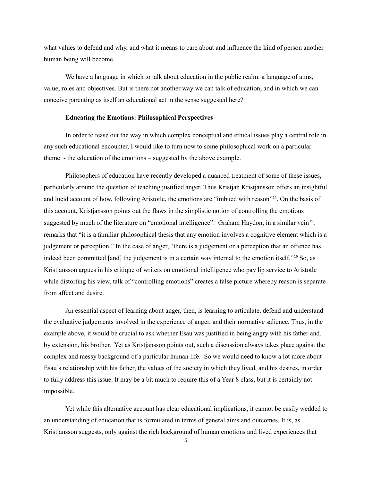what values to defend and why, and what it means to care about and influence the kind of person another human being will become.

We have a language in which to talk about education in the public realm: a language of aims, value, roles and objectives. But is there not another way we can talk of education, and in which we can conceive parenting as itself an educational act in the sense suggested here?

## **Educating the Emotions: Philosophical Perspectives**

In order to tease out the way in which complex conceptual and ethical issues play a central role in any such educational encounter, I would like to turn now to some philosophical work on a particular theme - the education of the emotions – suggested by the above example.

Philosophers of education have recently developed a nuanced treatment of some of these issues, particularly around the question of teaching justified anger. Thus Kristjan Kristjansson offers an insightful and lucid account of how, following Aristotle, the emotions are "imbued with reason"[14](#page-9-13). On the basis of this account, Kristjansson points out the flaws in the simplistic notion of controlling the emotions suggested by much of the literature on "emotional intelligence". Graham Haydon, in a similar vein<sup>[15](#page-9-14)</sup>, remarks that "it is a familiar philosophical thesis that any emotion involves a cognitive element which is a judgement or perception." In the case of anger, "there is a judgement or a perception that an offence has indeed been committed [and] the judgement is in a certain way internal to the emotion itself."[16](#page-9-15) So, as Kristjansson argues in his critique of writers on emotional intelligence who pay lip service to Aristotle while distorting his view, talk of "controlling emotions" creates a false picture whereby reason is separate from affect and desire.

An essential aspect of learning about anger, then, is learning to articulate, defend and understand the evaluative judgements involved in the experience of anger, and their normative salience. Thus, in the example above, it would be crucial to ask whether Esau was justified in being angry with his father and, by extension, his brother. Yet as Kristjansson points out, such a discussion always takes place against the complex and messy background of a particular human life. So we would need to know a lot more about Esau's relationship with his father, the values of the society in which they lived, and his desires, in order to fully address this issue. It may be a bit much to require this of a Year 8 class, but it is certainly not impossible.

Yet while this alternative account has clear educational implications, it cannot be easily wedded to an understanding of education that is formulated in terms of general aims and outcomes. It is, as Kristjansson suggests, only against the rich background of human emotions and lived experiences that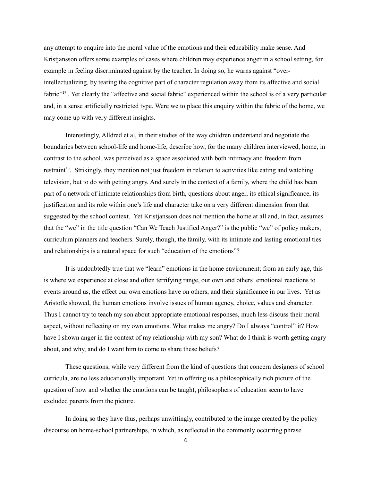any attempt to enquire into the moral value of the emotions and their educability make sense. And Kristjansson offers some examples of cases where children may experience anger in a school setting, for example in feeling discriminated against by the teacher. In doing so, he warns against "overintellectualizing, by tearing the cognitive part of character regulation away from its affective and social fabric"[17](#page-9-16) . Yet clearly the "affective and social fabric" experienced within the school is of a very particular and, in a sense artificially restricted type. Were we to place this enquiry within the fabric of the home, we may come up with very different insights.

Interestingly, Alldred et al, in their studies of the way children understand and negotiate the boundaries between school-life and home-life, describe how, for the many children interviewed, home, in contrast to the school, was perceived as a space associated with both intimacy and freedom from restraint<sup>[18](#page-9-17)</sup>. Strikingly, they mention not just freedom in relation to activities like eating and watching television, but to do with getting angry. And surely in the context of a family, where the child has been part of a network of intimate relationships from birth, questions about anger, its ethical significance, its justification and its role within one's life and character take on a very different dimension from that suggested by the school context. Yet Kristjansson does not mention the home at all and, in fact, assumes that the "we" in the title question "Can We Teach Justified Anger?" is the public "we" of policy makers, curriculum planners and teachers. Surely, though, the family, with its intimate and lasting emotional ties and relationships is a natural space for such "education of the emotions"?

It is undoubtedly true that we "learn" emotions in the home environment; from an early age, this is where we experience at close and often terrifying range, our own and others' emotional reactions to events around us, the effect our own emotions have on others, and their significance in our lives. Yet as Aristotle showed, the human emotions involve issues of human agency, choice, values and character. Thus I cannot try to teach my son about appropriate emotional responses, much less discuss their moral aspect, without reflecting on my own emotions. What makes me angry? Do I always "control" it? How have I shown anger in the context of my relationship with my son? What do I think is worth getting angry about, and why, and do I want him to come to share these beliefs?

These questions, while very different from the kind of questions that concern designers of school curricula, are no less educationally important. Yet in offering us a philosophically rich picture of the question of how and whether the emotions can be taught, philosophers of education seem to have excluded parents from the picture.

In doing so they have thus, perhaps unwittingly, contributed to the image created by the policy discourse on home-school partnerships, in which, as reflected in the commonly occurring phrase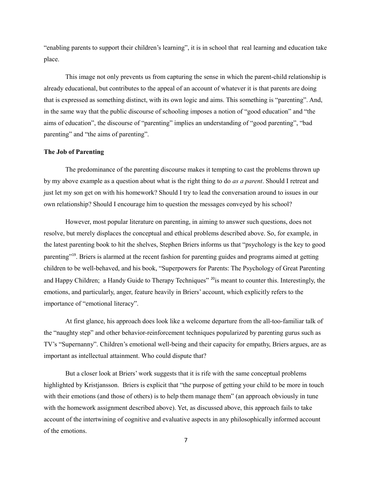"enabling parents to support their children's learning", it is in school that real learning and education take place.

This image not only prevents us from capturing the sense in which the parent-child relationship is already educational, but contributes to the appeal of an account of whatever it is that parents are doing that is expressed as something distinct, with its own logic and aims. This something is "parenting". And, in the same way that the public discourse of schooling imposes a notion of "good education" and "the aims of education", the discourse of "parenting" implies an understanding of "good parenting", "bad parenting" and "the aims of parenting".

## **The Job of Parenting**

The predominance of the parenting discourse makes it tempting to cast the problems thrown up by my above example as a question about what is the right thing to do *as a parent*. Should I retreat and just let my son get on with his homework? Should I try to lead the conversation around to issues in our own relationship? Should I encourage him to question the messages conveyed by his school?

However, most popular literature on parenting, in aiming to answer such questions, does not resolve, but merely displaces the conceptual and ethical problems described above. So, for example, in the latest parenting book to hit the shelves, Stephen Briers informs us that "psychology is the key to good parenting"<sup>[19](#page-9-18)</sup>. Briers is alarmed at the recent fashion for parenting guides and programs aimed at getting children to be well-behaved, and his book, "Superpowers for Parents: The Psychology of Great Parenting and Happy Children; a Handy Guide to Therapy Techniques<sup>" [20](#page-9-19)</sup>is meant to counter this. Interestingly, the emotions, and particularly, anger, feature heavily in Briers' account, which explicitly refers to the importance of "emotional literacy".

At first glance, his approach does look like a welcome departure from the all-too-familiar talk of the "naughty step" and other behavior-reinforcement techniques popularized by parenting gurus such as TV's "Supernanny". Children's emotional well-being and their capacity for empathy, Briers argues, are as important as intellectual attainment. Who could dispute that?

But a closer look at Briers' work suggests that it is rife with the same conceptual problems highlighted by Kristjansson. Briers is explicit that "the purpose of getting your child to be more in touch with their emotions (and those of others) is to help them manage them" (an approach obviously in tune with the homework assignment described above). Yet, as discussed above, this approach fails to take account of the intertwining of cognitive and evaluative aspects in any philosophically informed account of the emotions.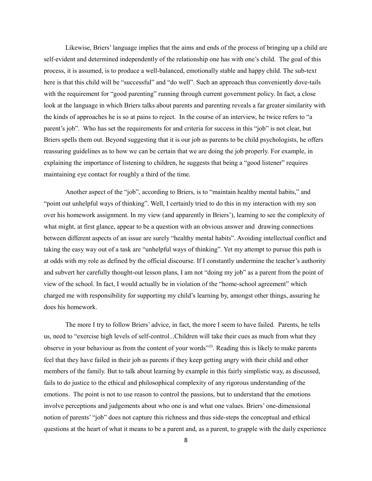Likewise, Briers' language implies that the aims and ends of the process of bringing up a child are self-evident and determined independently of the relationship one has with one's child. The goal of this process, it is assumed, is to produce a well-balanced, emotionally stable and happy child. The sub-text here is that this child will be "successful" and "do well". Such an approach thus conveniently dove-tails with the requirement for "good parenting" running through current government policy. In fact, a close look at the language in which Briers talks about parents and parenting reveals a far greater similarity with the kinds of approaches he is so at pains to reject. In the course of an interview, he twice refers to "a parent's job". Who has set the requirements for and criteria for success in this "job" is not clear, but Briers spells them out. Beyond suggesting that it is our job as parents to be child psychologists, he offers reassuring guidelines as to how we can be certain that we are doing the job properly. For example, in explaining the importance of listening to children, he suggests that being a "good listener" requires maintaining eye contact for roughly a third of the time.

Another aspect of the "job", according to Briers, is to "maintain healthy mental habits," and "point out unhelpful ways of thinking". Well, I certainly tried to do this in my interaction with my son over his homework assignment. In my view (and apparently in Briers'), learning to see the complexity of what might, at first glance, appear to be a question with an obvious answer and drawing connections between different aspects of an issue are surely "healthy mental habits". Avoiding intellectual conflict and taking the easy way out of a task are "unhelpful ways of thinking". Yet my attempt to pursue this path is at odds with my role as defined by the official discourse. If I constantly undermine the teacher's authority and subvert her carefully thought-out lesson plans, I am not "doing my job" as a parent from the point of view of the school. In fact, I would actually be in violation of the "home-school agreement" which charged me with responsibility for supporting my child's learning by, amongst other things, assuring he does his homework.

The more I try to follow Briers' advice, in fact, the more I seem to have failed. Parents, he tells us, need to "exercise high levels of self-control...Children will take their cues as much from what they observe in your behaviour as from the content of your words"[21](#page-9-20). Reading this is likely to make parents feel that they have failed in their job as parents if they keep getting angry with their child and other members of the family. But to talk about learning by example in this fairly simplistic way, as discussed, fails to do justice to the ethical and philosophical complexity of any rigorous understanding of the emotions. The point is not to use reason to control the passions, but to understand that the emotions involve perceptions and judgements about who one is and what one values. Briers' one-dimensional notion of parents' "job" does not capture this richness and thus side-steps the conceptual and ethical questions at the heart of what it means to be a parent and, as a parent, to grapple with the daily experience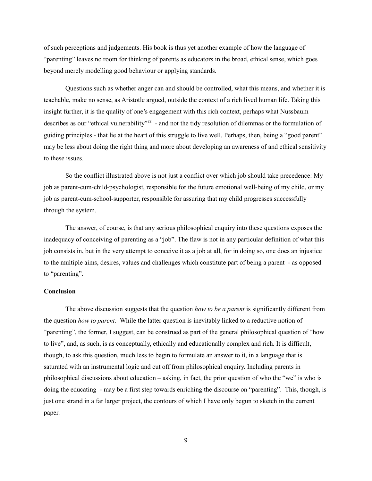of such perceptions and judgements. His book is thus yet another example of how the language of "parenting" leaves no room for thinking of parents as educators in the broad, ethical sense, which goes beyond merely modelling good behaviour or applying standards.

Questions such as whether anger can and should be controlled, what this means, and whether it is teachable, make no sense, as Aristotle argued, outside the context of a rich lived human life. Taking this insight further, it is the quality of one's engagement with this rich context, perhaps what Nussbaum describes as our "ethical vulnerability"<sup>[22](#page-9-21)</sup> - and not the tidy resolution of dilemmas or the formulation of guiding principles - that lie at the heart of this struggle to live well. Perhaps, then, being a "good parent" may be less about doing the right thing and more about developing an awareness of and ethical sensitivity to these issues.

So the conflict illustrated above is not just a conflict over which job should take precedence: My job as parent-cum-child-psychologist, responsible for the future emotional well-being of my child, or my job as parent-cum-school-supporter, responsible for assuring that my child progresses successfully through the system.

The answer, of course, is that any serious philosophical enquiry into these questions exposes the inadequacy of conceiving of parenting as a "job". The flaw is not in any particular definition of what this job consists in, but in the very attempt to conceive it as a job at all, for in doing so, one does an injustice to the multiple aims, desires, values and challenges which constitute part of being a parent - as opposed to "parenting".

#### **Conclusion**

The above discussion suggests that the question *how to be a parent* is significantly different from the question *how to parent.* While the latter question is inevitably linked to a reductive notion of "parenting", the former, I suggest, can be construed as part of the general philosophical question of "how to live", and, as such, is as conceptually, ethically and educationally complex and rich. It is difficult, though, to ask this question, much less to begin to formulate an answer to it, in a language that is saturated with an instrumental logic and cut off from philosophical enquiry. Including parents in philosophical discussions about education – asking, in fact, the prior question of who the "we" is who is doing the educating - may be a first step towards enriching the discourse on "parenting". This, though, is just one strand in a far larger project, the contours of which I have only begun to sketch in the current paper.